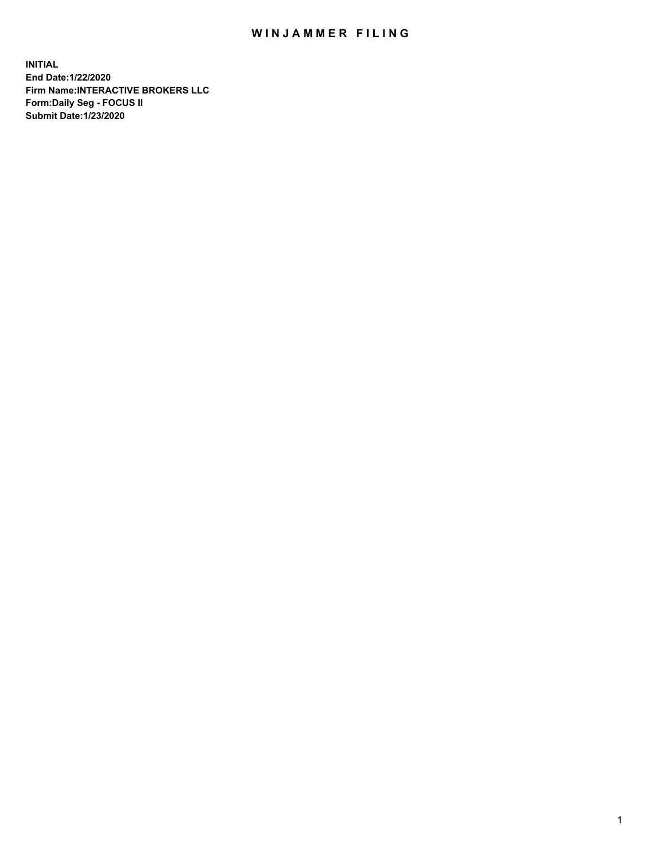## WIN JAMMER FILING

**INITIAL End Date:1/22/2020 Firm Name:INTERACTIVE BROKERS LLC Form:Daily Seg - FOCUS II Submit Date:1/23/2020**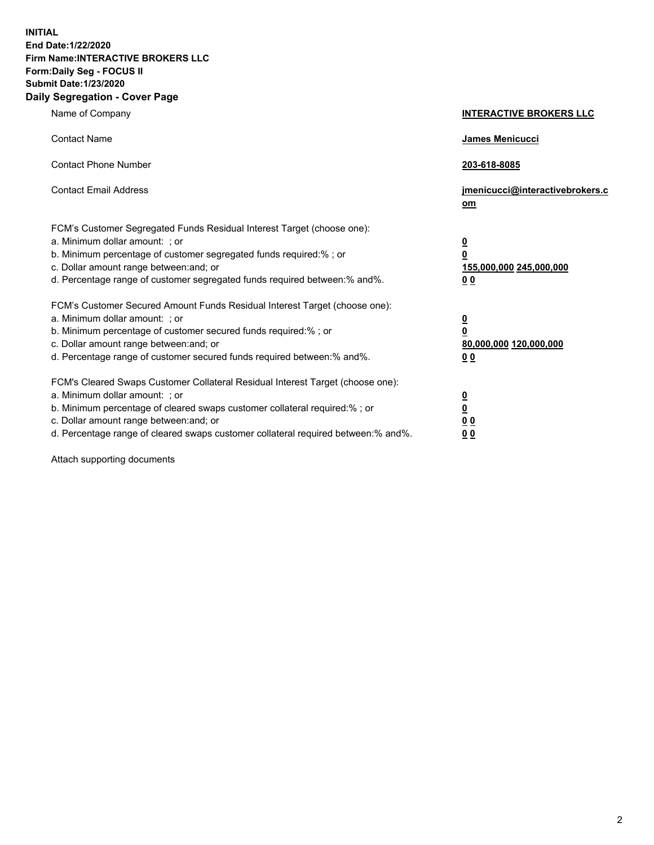**INITIAL End Date:1/22/2020 Firm Name:INTERACTIVE BROKERS LLC Form:Daily Seg - FOCUS II Submit Date:1/23/2020 Daily Segregation - Cover Page**

| Name of Company                                                                                                                                                                                                                                                                                                                | <b>INTERACTIVE BROKERS LLC</b>                                                                  |
|--------------------------------------------------------------------------------------------------------------------------------------------------------------------------------------------------------------------------------------------------------------------------------------------------------------------------------|-------------------------------------------------------------------------------------------------|
| <b>Contact Name</b>                                                                                                                                                                                                                                                                                                            | <b>James Menicucci</b>                                                                          |
| <b>Contact Phone Number</b>                                                                                                                                                                                                                                                                                                    | 203-618-8085                                                                                    |
| <b>Contact Email Address</b>                                                                                                                                                                                                                                                                                                   | jmenicucci@interactivebrokers.c<br>om                                                           |
| FCM's Customer Segregated Funds Residual Interest Target (choose one):<br>a. Minimum dollar amount: ; or<br>b. Minimum percentage of customer segregated funds required:% ; or<br>c. Dollar amount range between: and; or<br>d. Percentage range of customer segregated funds required between:% and%.                         | $\overline{\mathbf{0}}$<br>$\overline{\mathbf{0}}$<br>155,000,000 245,000,000<br>0 <sub>0</sub> |
| FCM's Customer Secured Amount Funds Residual Interest Target (choose one):<br>a. Minimum dollar amount: ; or<br>b. Minimum percentage of customer secured funds required:% ; or<br>c. Dollar amount range between: and; or<br>d. Percentage range of customer secured funds required between:% and%.                           | $\overline{\mathbf{0}}$<br>$\overline{\mathbf{0}}$<br>80,000,000 120,000,000<br><u>00</u>       |
| FCM's Cleared Swaps Customer Collateral Residual Interest Target (choose one):<br>a. Minimum dollar amount: ; or<br>b. Minimum percentage of cleared swaps customer collateral required:% ; or<br>c. Dollar amount range between: and; or<br>d. Percentage range of cleared swaps customer collateral required between:% and%. | <u>0</u><br>$\underline{\mathbf{0}}$<br>$\underline{0}$ $\underline{0}$<br>0 Q                  |

Attach supporting documents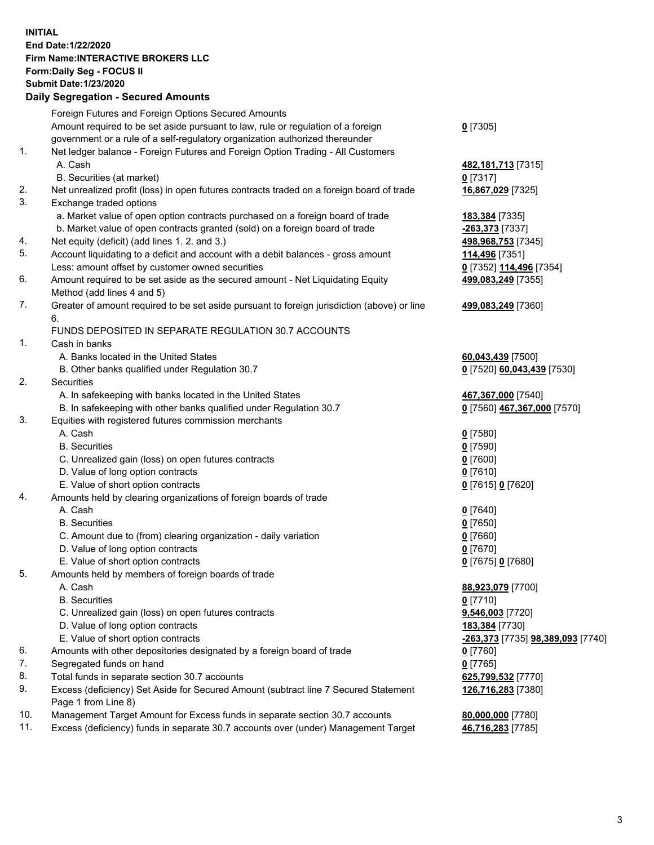**INITIAL End Date:1/22/2020 Firm Name:INTERACTIVE BROKERS LLC Form:Daily Seg - FOCUS II Submit Date:1/23/2020 Daily Segregation - Secured Amounts**

|     | Foreign Futures and Foreign Options Secured Amounts                                         |                                   |
|-----|---------------------------------------------------------------------------------------------|-----------------------------------|
|     | Amount required to be set aside pursuant to law, rule or regulation of a foreign            | $0$ [7305]                        |
|     | government or a rule of a self-regulatory organization authorized thereunder                |                                   |
| 1.  | Net ledger balance - Foreign Futures and Foreign Option Trading - All Customers             |                                   |
|     | A. Cash                                                                                     | 482, 181, 713 [7315]              |
|     | B. Securities (at market)                                                                   | $0$ [7317]                        |
| 2.  | Net unrealized profit (loss) in open futures contracts traded on a foreign board of trade   | 16,867,029 [7325]                 |
| 3.  | Exchange traded options                                                                     |                                   |
|     | a. Market value of open option contracts purchased on a foreign board of trade              | 183,384 [7335]                    |
|     | b. Market value of open contracts granted (sold) on a foreign board of trade                | -263,373 [7337]                   |
| 4.  | Net equity (deficit) (add lines 1. 2. and 3.)                                               | 498,968,753 [7345]                |
| 5.  | Account liquidating to a deficit and account with a debit balances - gross amount           | 114,496 [7351]                    |
|     | Less: amount offset by customer owned securities                                            | 0 [7352] 114,496 [7354]           |
| 6.  | Amount required to be set aside as the secured amount - Net Liquidating Equity              | 499,083,249 [7355]                |
|     | Method (add lines 4 and 5)                                                                  |                                   |
| 7.  | Greater of amount required to be set aside pursuant to foreign jurisdiction (above) or line | 499,083,249 [7360]                |
|     | 6.                                                                                          |                                   |
|     | FUNDS DEPOSITED IN SEPARATE REGULATION 30.7 ACCOUNTS                                        |                                   |
| 1.  | Cash in banks                                                                               |                                   |
|     | A. Banks located in the United States                                                       | 60,043,439 [7500]                 |
|     | B. Other banks qualified under Regulation 30.7                                              | 0 [7520] 60,043,439 [7530]        |
| 2.  | Securities                                                                                  |                                   |
|     | A. In safekeeping with banks located in the United States                                   | 467,367,000 [7540]                |
|     | B. In safekeeping with other banks qualified under Regulation 30.7                          | 0 [7560] 467,367,000 [7570]       |
| 3.  | Equities with registered futures commission merchants                                       |                                   |
|     | A. Cash                                                                                     | $0$ [7580]                        |
|     | <b>B.</b> Securities                                                                        | $0$ [7590]                        |
|     | C. Unrealized gain (loss) on open futures contracts                                         | $0$ [7600]                        |
|     | D. Value of long option contracts                                                           | $0$ [7610]                        |
|     | E. Value of short option contracts                                                          | 0 [7615] 0 [7620]                 |
| 4.  | Amounts held by clearing organizations of foreign boards of trade                           |                                   |
|     | A. Cash                                                                                     | $0$ [7640]                        |
|     | <b>B.</b> Securities                                                                        | $0$ [7650]                        |
|     | C. Amount due to (from) clearing organization - daily variation                             | $0$ [7660]                        |
|     | D. Value of long option contracts                                                           | $0$ [7670]                        |
|     | E. Value of short option contracts                                                          | 0 [7675] 0 [7680]                 |
| 5.  | Amounts held by members of foreign boards of trade                                          |                                   |
|     | A. Cash                                                                                     | 88,923,079 [7700]                 |
|     | <b>B.</b> Securities                                                                        | $0$ [7710]                        |
|     | C. Unrealized gain (loss) on open futures contracts                                         | 9,546,003 [7720]                  |
|     | D. Value of long option contracts                                                           | 183,384 [7730]                    |
|     | E. Value of short option contracts                                                          | -263,373 [7735] 98,389,093 [7740] |
| 6.  | Amounts with other depositories designated by a foreign board of trade                      | $0$ [7760]                        |
| 7.  | Segregated funds on hand                                                                    | $0$ [7765]                        |
| 8.  | Total funds in separate section 30.7 accounts                                               | 625,799,532 [7770]                |
| 9.  | Excess (deficiency) Set Aside for Secured Amount (subtract line 7 Secured Statement         | 126,716,283 [7380]                |
|     | Page 1 from Line 8)                                                                         |                                   |
| 10. | Management Target Amount for Excess funds in separate section 30.7 accounts                 | 80,000,000 [7780]                 |
| 11. | Excess (deficiency) funds in separate 30.7 accounts over (under) Management Target          | 46,716,283 [7785]                 |
|     |                                                                                             |                                   |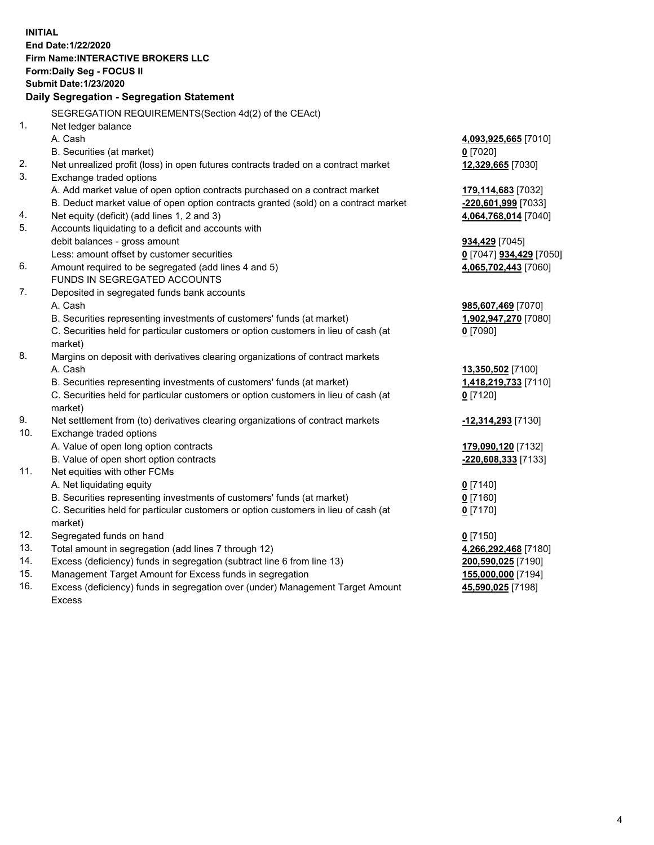**INITIAL End Date:1/22/2020 Firm Name:INTERACTIVE BROKERS LLC Form:Daily Seg - FOCUS II Submit Date:1/23/2020 Daily Segregation - Segregation Statement** SEGREGATION REQUIREMENTS(Section 4d(2) of the CEAct) 1. Net ledger balance A. Cash **4,093,925,665** [7010] B. Securities (at market) **0** [7020] 2. Net unrealized profit (loss) in open futures contracts traded on a contract market **12,329,665** [7030] 3. Exchange traded options A. Add market value of open option contracts purchased on a contract market **179,114,683** [7032] B. Deduct market value of open option contracts granted (sold) on a contract market **-220,601,999** [7033] 4. Net equity (deficit) (add lines 1, 2 and 3) **4,064,768,014** [7040] 5. Accounts liquidating to a deficit and accounts with debit balances - gross amount **934,429** [7045] Less: amount offset by customer securities **0** [7047] **934,429** [7050] 6. Amount required to be segregated (add lines 4 and 5) **4,065,702,443** [7060] FUNDS IN SEGREGATED ACCOUNTS 7. Deposited in segregated funds bank accounts A. Cash **985,607,469** [7070] B. Securities representing investments of customers' funds (at market) **1,902,947,270** [7080] C. Securities held for particular customers or option customers in lieu of cash (at market) **0** [7090] 8. Margins on deposit with derivatives clearing organizations of contract markets A. Cash **13,350,502** [7100] B. Securities representing investments of customers' funds (at market) **1,418,219,733** [7110] C. Securities held for particular customers or option customers in lieu of cash (at market) **0** [7120] 9. Net settlement from (to) derivatives clearing organizations of contract markets **-12,314,293** [7130] 10. Exchange traded options A. Value of open long option contracts **179,090,120** [7132] B. Value of open short option contracts **-220,608,333** [7133] 11. Net equities with other FCMs A. Net liquidating equity **0** [7140] B. Securities representing investments of customers' funds (at market) **0** [7160] C. Securities held for particular customers or option customers in lieu of cash (at market) **0** [7170] 12. Segregated funds on hand **0** [7150] 13. Total amount in segregation (add lines 7 through 12) **4,266,292,468** [7180] 14. Excess (deficiency) funds in segregation (subtract line 6 from line 13) **200,590,025** [7190] 15. Management Target Amount for Excess funds in segregation **155,000,000** [7194]

16. Excess (deficiency) funds in segregation over (under) Management Target Amount Excess

**45,590,025** [7198]